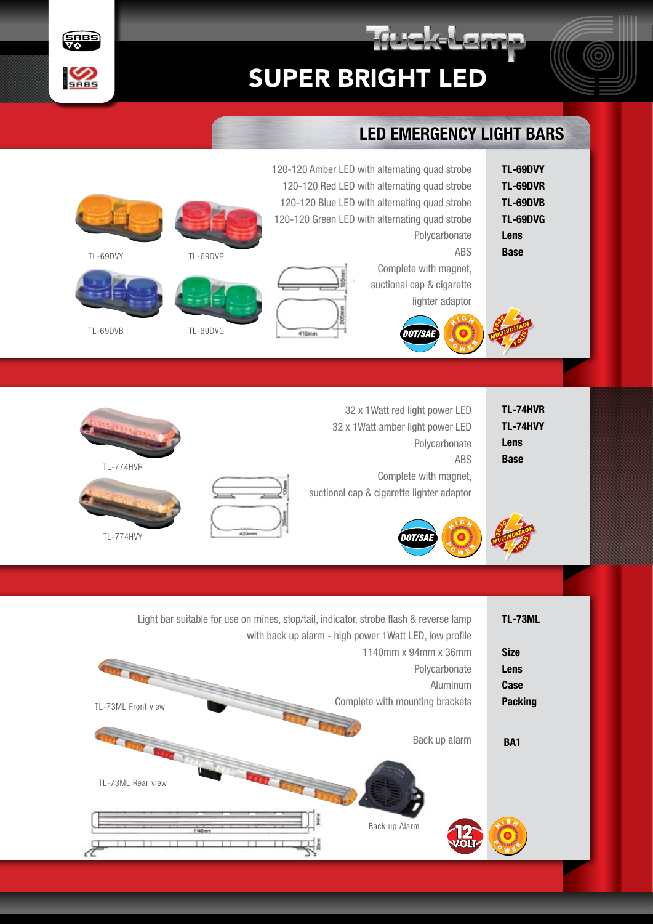

rakal am



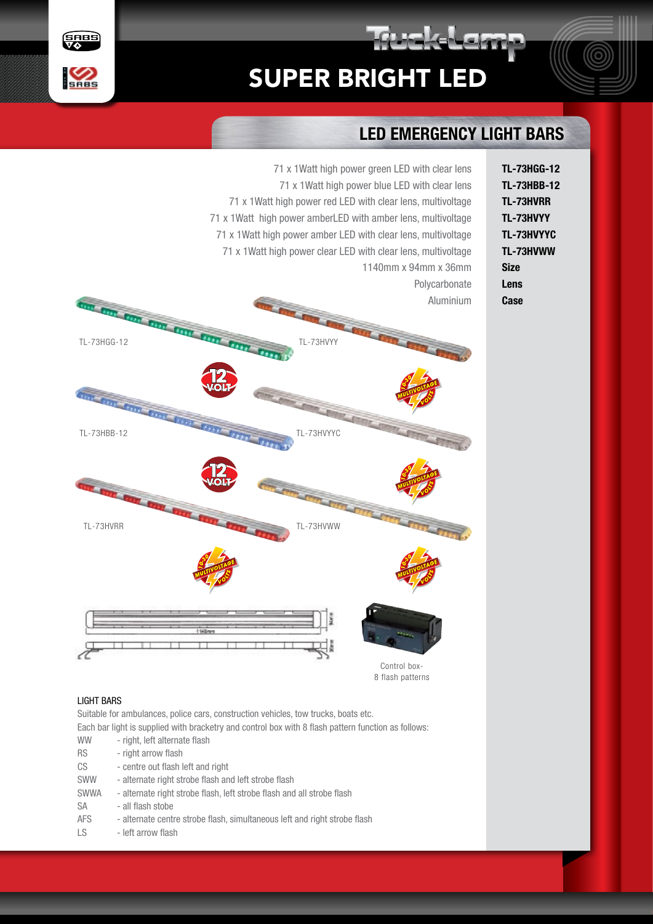## SUPER BRIGHT LED

71 x 1Watt high power green LED with clear lens



## LED EMERGENCY LIGHT BARS

rakal am



## LIGHT BARS

Uses Suitable for ambulances, police cars, construction vehicles, tow trucks, boats etc.

Each bar light is supplied with bracketry and control box with 8 flash pattern function as follows:

- WW right, left alternate flash
- RS right arrow flash
- CS centre out flash left and right
- SWW alternate right strobe flash and left strobe flash
- SWWA alternate right strobe flash, left strobe flash and all strobe flash
- SA all flash stobe
- AFS alternate centre strobe flash, simultaneous left and right strobe flash
- LS left arrow flash

TL-73HGG-12 TL-73HBB-12 TL-73HVRR TL-73HVYY TL-73HVYYC TL-73HVWW Size Lens **Case**